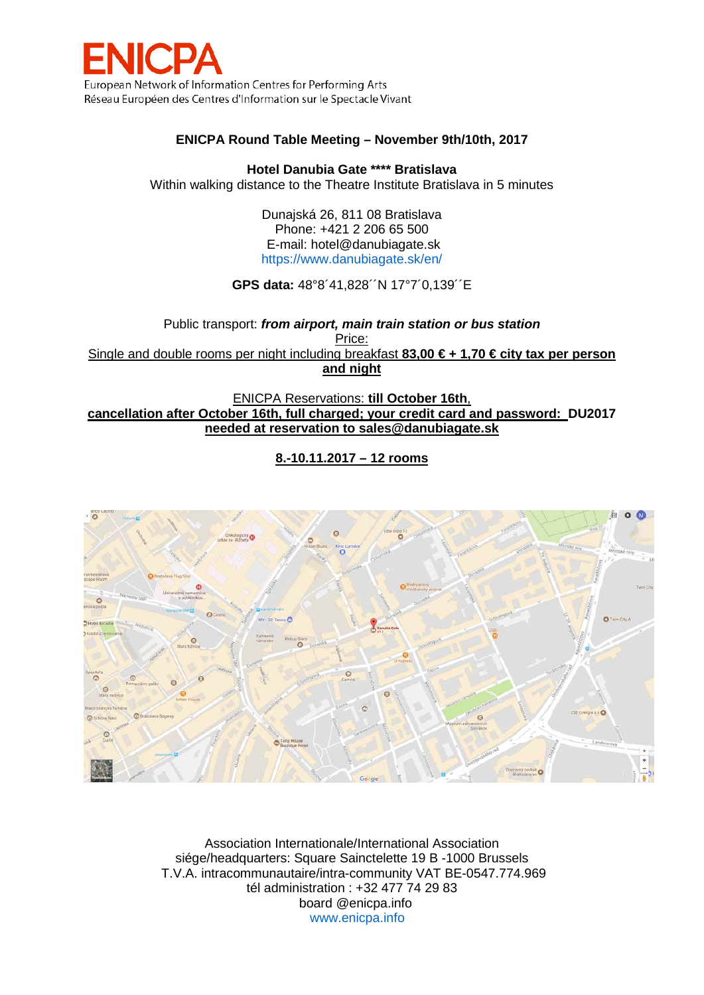

## **ENICPA Round Table Meeting – November 9th/10th, 2017**

**Hotel Danubia Gate \*\*\*\* Bratislava**

Within walking distance to the Theatre Institute Bratislava in 5 minutes

Dunajská 26, 811 08 Bratislava Phone: +421 2 206 65 500 E-mail: [hotel@danubiagate.sk](mailto:hotel@danubiagate.sk) <https://www.danubiagate.sk/en/>

**GPS data:** 48°8´41,828´´N 17°7´0,139´´E

Public transport: *from airport, main train station or bus station* Price: Single and double rooms per night including breakfast **83,00 € + 1,70 € city tax per person and night**

ENICPA Reservations: **till October 16th**, **cancellation after October 16th, full charged; your credit card and password: DU2017 needed at reservation to sales@danubiagate.sk**

**8.-10.11.2017 – 12 rooms**



Association Internationale/International Association siége/headquarters: Square Sainctelette 19 B -1000 Brussels T.V.A. intracommunautaire/intra-community VAT BE-0547.774.969 tél administration : +32 477 74 29 83 board @enicpa.info [www.enicpa.info](http://www.enicpa.info/)